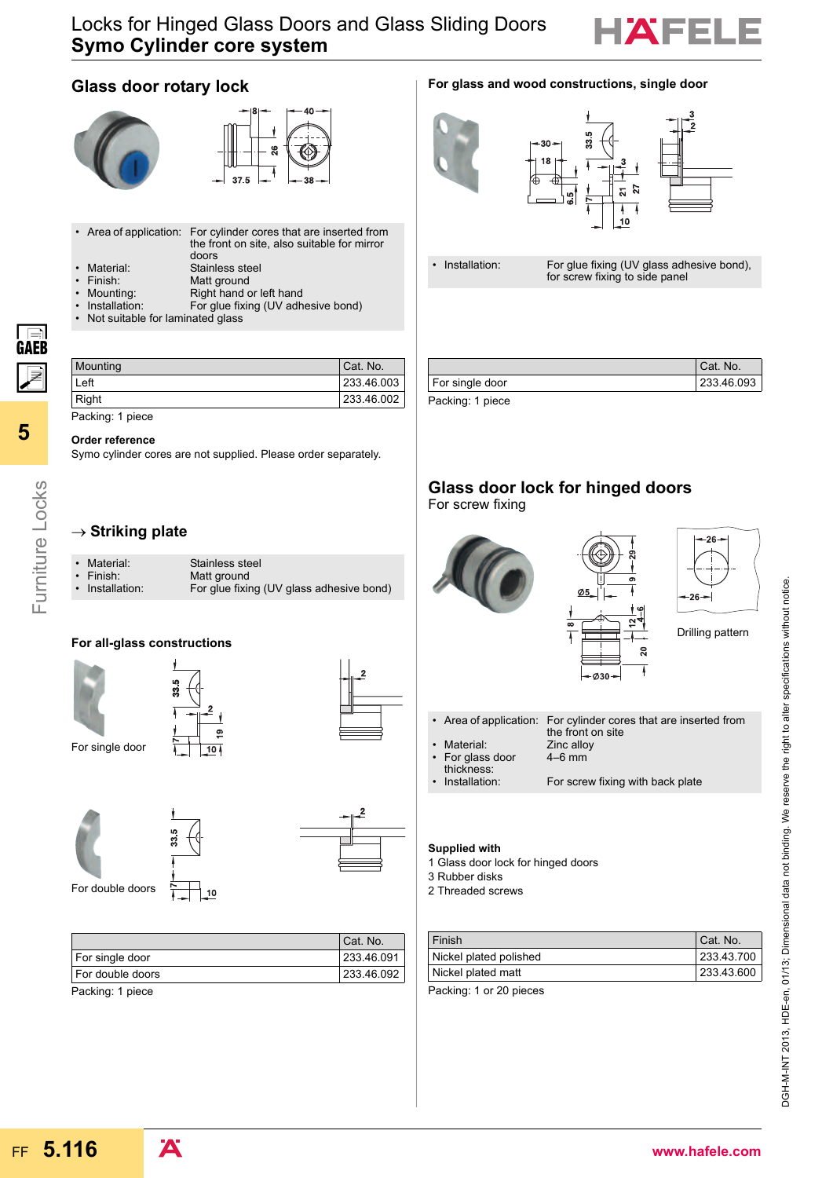## Locks for Hinged Glass Doors and Glass Sliding Doors **Symo Cylinder core system**



## **Glass door rotary lock**





- Area of application: For cylinder cores that are inserted from the front on site, also suitable for mirror doors
- 
- 
- Material: Stainless steel<br>• Finish: Matt ground Matt ground
- 
- Mounting: Right hand or left hand<br>• Installation: For glue fixing (UV adh
- Installation: For glue fixing (UV adhesive bond)<br>• Not suitable for laminated glass Not suitable for laminated glass

|  | For glass and wood constructions, single door |  |
|--|-----------------------------------------------|--|
|  |                                               |  |





• Installation: For glue fixing (UV glass adhesive bond), for screw fixing to side panel

|                 | Cat. No.   |
|-----------------|------------|
| For single door | 233.46.093 |
| Dooling 1 nices |            |

Packing: 1 piece

**5**

Furniture Locks

Furniture Locks

GAEB  $\overline{\mathbb{Z}}$ 

#### **Order reference**

Symo cylinder cores are not supplied. Please order separately.

Mounting Cat. No. Left 233.46.003 Right 233.46.002

## → Striking plate

| • Material:     | Stainless steel                          |
|-----------------|------------------------------------------|
| $\cdot$ Finish: | Matt ground                              |
| • Installation: | For glue fixing (UV glass adhesive bond) |

## **For all-glass constructions**





33.5



 $\overline{2}$ 



| ═<br>Ξ |
|--------|

For double doors

|                  | Cat. No.   |
|------------------|------------|
| For single door  | 233.46.091 |
| For double doors | 233.46.092 |
| Dooking: 1 niooo |            |

 $10$ 

Packing: 1 piece

## **Glass door lock for hinged doors**

For screw fixing



#### **Supplied with**

- 1 Glass door lock for hinged doors
- 3 Rubber disks
- 2 Threaded screws

| Finish                 | Cat. No.   |
|------------------------|------------|
| Nickel plated polished | 233.43.700 |
| Nickel plated matt     | 233.43.600 |
|                        |            |

Packing: 1 or 20 pieces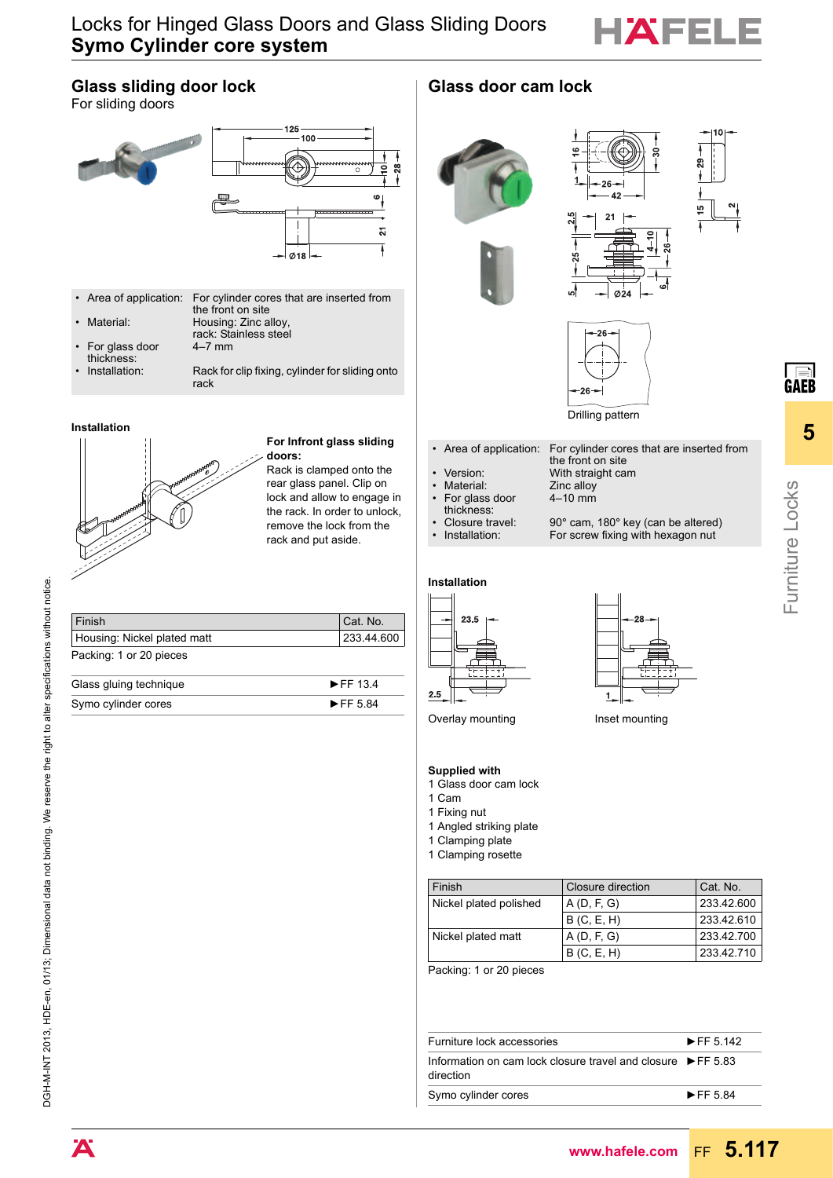

## Locks for Hinged Glass Doors and Glass Sliding Doors **Symo Cylinder core system**

## **Glass sliding door lock** For sliding doors 125 100  $\ddot{\mathbf{g}}$  $\mathbf{e}$  $\overline{\mathbf{z}}$ 7  $\emptyset$ 18 • Area of application: For cylinder cores that are inserted from the front on site • Material: Housing: Zinc alloy rack: Stainless steel • For glass door 4–7 mm thickness: Installation: Rack for clip fixing, cylinder for sliding onto rack **Installation For Infront glass sliding doors:** Rack is clamped onto the rear glass panel. Clip on lock and allow to engage in the rack. In order to unlock, thickness:<br>Closure travel: remove the lock from the rack and put aside. **Installation** 23.5 Finish Cat. No. Housing: Nickel plated matt 233.44.600 Packing: 1 or 20 pieces Glass gluing technique EFF 13.4  $2.5$ Symo cylinder cores ► FF 5.84

## Glass door cam lock







Drilling pattern

• Area of application: For cylinder cores that are inserted from the front on site Version: With straight cam<br>
Material: Zinc alloy Zinc alloy

4–10 mm

- For glass door
- 
- Closure travel:  $90^\circ$  cam, 180 $^\circ$  key (can be altered)<br>Installation: For screw fixing with hexagon nut
- 





For screw fixing with hexagon nut

Overlay mounting **Inset mounting** 

### **Supplied with**

- 1 Glass door cam lock
- 1 Cam
- 1 Fixing nut

1 Angled striking plate 1 Clamping plate

1 Clamping rosette

| Finish                 | Closure direction | Cat. No.   |
|------------------------|-------------------|------------|
| Nickel plated polished | A(D, F, G)        | 233.42.600 |
|                        | B(C, E, H)        | 233.42.610 |
| Nickel plated matt     | A(D, F, G)        | 233.42.700 |
|                        | B(C, E, H)        | 233.42.710 |

Packing: 1 or 20 pieces

| Furniture lock accessories                                                               | $\blacktriangleright$ FF 5 142 |
|------------------------------------------------------------------------------------------|--------------------------------|
| Information on cam lock closure travel and closure $\triangleright$ FF 5.83<br>direction |                                |
| Symo cylinder cores                                                                      | $\blacktriangleright$ FF 584   |

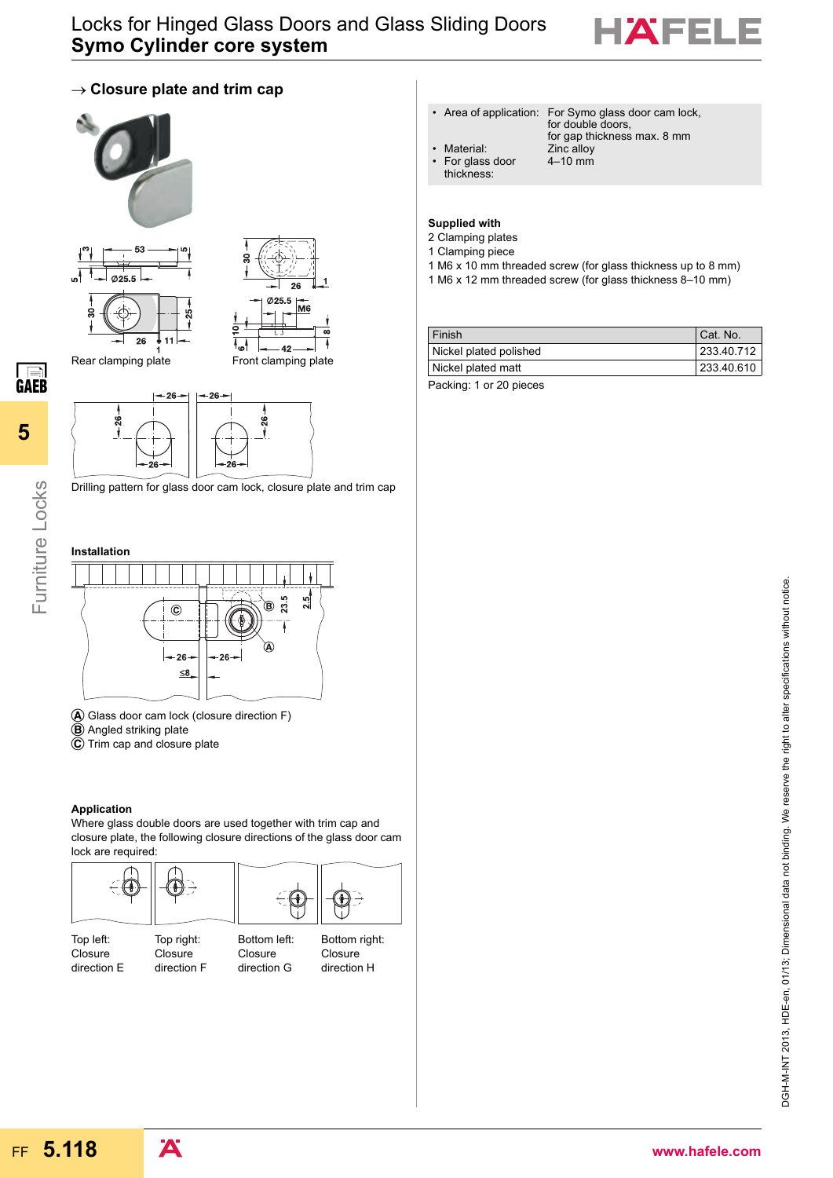

## $\rightarrow$  Closure plate and trim cap





Ø<sub>25.5</sub> M<sub>6</sub>  $^{1}$ 7  $42$ Rear clamping plate Front clamping plate



Drilling pattern for glass door cam lock, closure plate and trim cap



**5**

Furniture Locks

Furniture Locks

**GAEB** 



- 
- **B** Angled striking plate
- 

#### **Application**

Where glass double doors are used together with trim cap and closure plate, the following closure directions of the glass door cam lock are required:



Top left: **Closure** direction E

Top right: **Closure** direction F

**Closure** direction H

- Area of application: For Symo glass door cam lock, for double doors, for gap thickness max. 8 mm
	- Material: **Zinc** alloy
- For glass door thickness:

4–10 mm

#### **Supplied with**

- 2 Clamping plates
- 1 Clamping piece
- 1 M6 x 10 mm threaded screw (for glass thickness up to 8 mm)
- 1 M6 x 12 mm threaded screw (for glass thickness 8–10 mm)

| <b>Finish</b>          | Cat. No.   |
|------------------------|------------|
| Nickel plated polished | 233.40.712 |
| Nickel plated matt     | 233.40.610 |
|                        |            |

Packing: 1 or 20 pieces



A Glass door cam lock (closure direction F)

- 
- $\overline{C}$  Trim cap and closure plate

Bottom left: Closure direction G

Bottom right: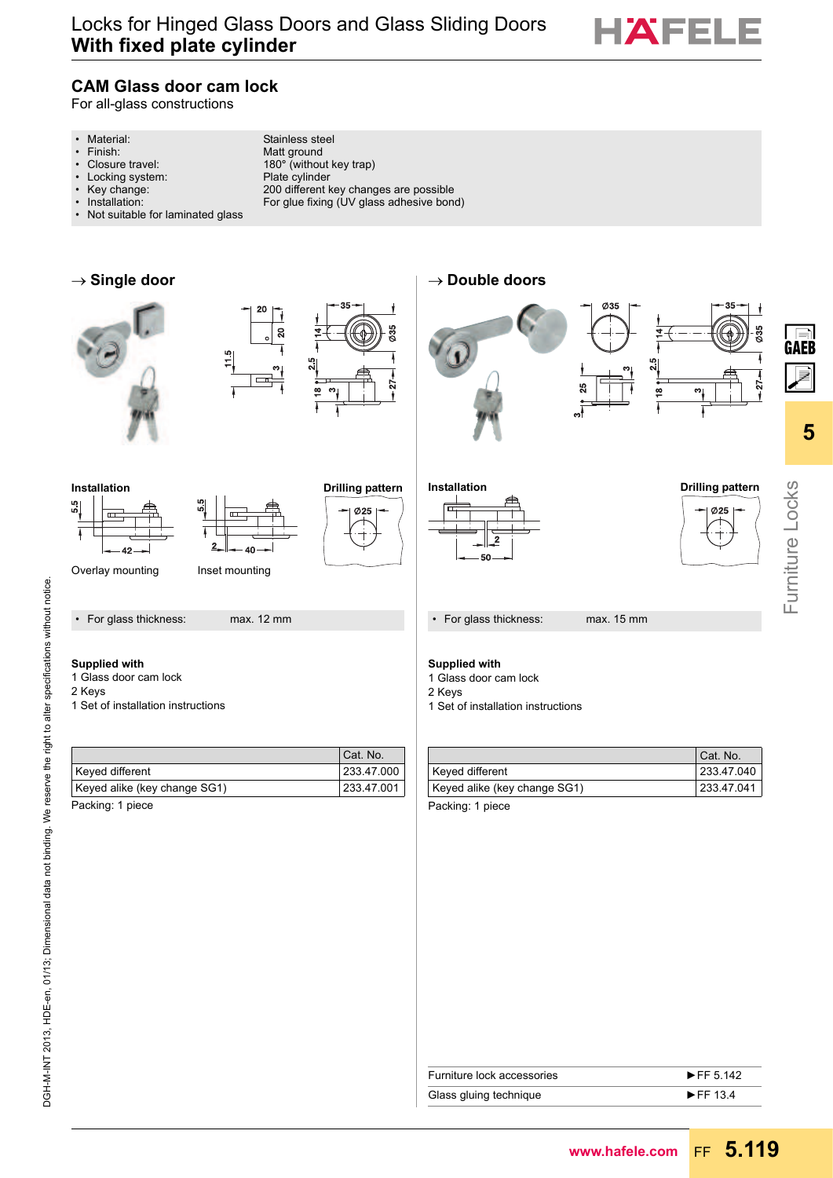

## **CAM Glass door cam lock**

For all-glass constructions

- 
- 
- 
- Locking system:<br>• Key change:
- 
- 
- Not suitable for laminated glass

• Material: Stainless steel<br>• Finish: Stainless steel<br>Matt ground • Finish: Matt ground<br>• Closure travel: 180° (withou • Closure travel: 180° (without key trap)<br>• Locking system: Plate cylinder • Key change: 200 different key changes are possible • Installation: For glue fixing (UV glass adhesive bond)









→ Double doors









 $\frac{5}{11}$ 



Overlay mounting lnset mounting

• For glass thickness: max. 12 mm

### **Supplied with**

- 1 Glass door cam lock
- 2 Keys
- 1 Set of installation instructions

|                              | Cat. No.   |
|------------------------------|------------|
| Keyed different              | 233.47.000 |
| Keyed alike (key change SG1) | 233.47.001 |
| المجاهل الاستحادات والمتحدث  |            |

Packing: 1 piece



• For glass thickness: max. 15 mm

#### **Supplied with**

- 1 Glass door cam lock
- 2 Keys
- 1 Set of installation instructions

|                              | Cat. No.   |
|------------------------------|------------|
| Keyed different              | 233.47.040 |
| Keyed alike (key change SG1) | 233.47.041 |
| Dooking: 1 nioco             |            |

Packing: 1 piece

| Furniture lock accessories | $\blacktriangleright$ FF 5.142 |
|----------------------------|--------------------------------|
| Glass gluing technique     | $\blacktriangleright$ FF 134   |
|                            |                                |

**Ø25** 

Furniture Locks